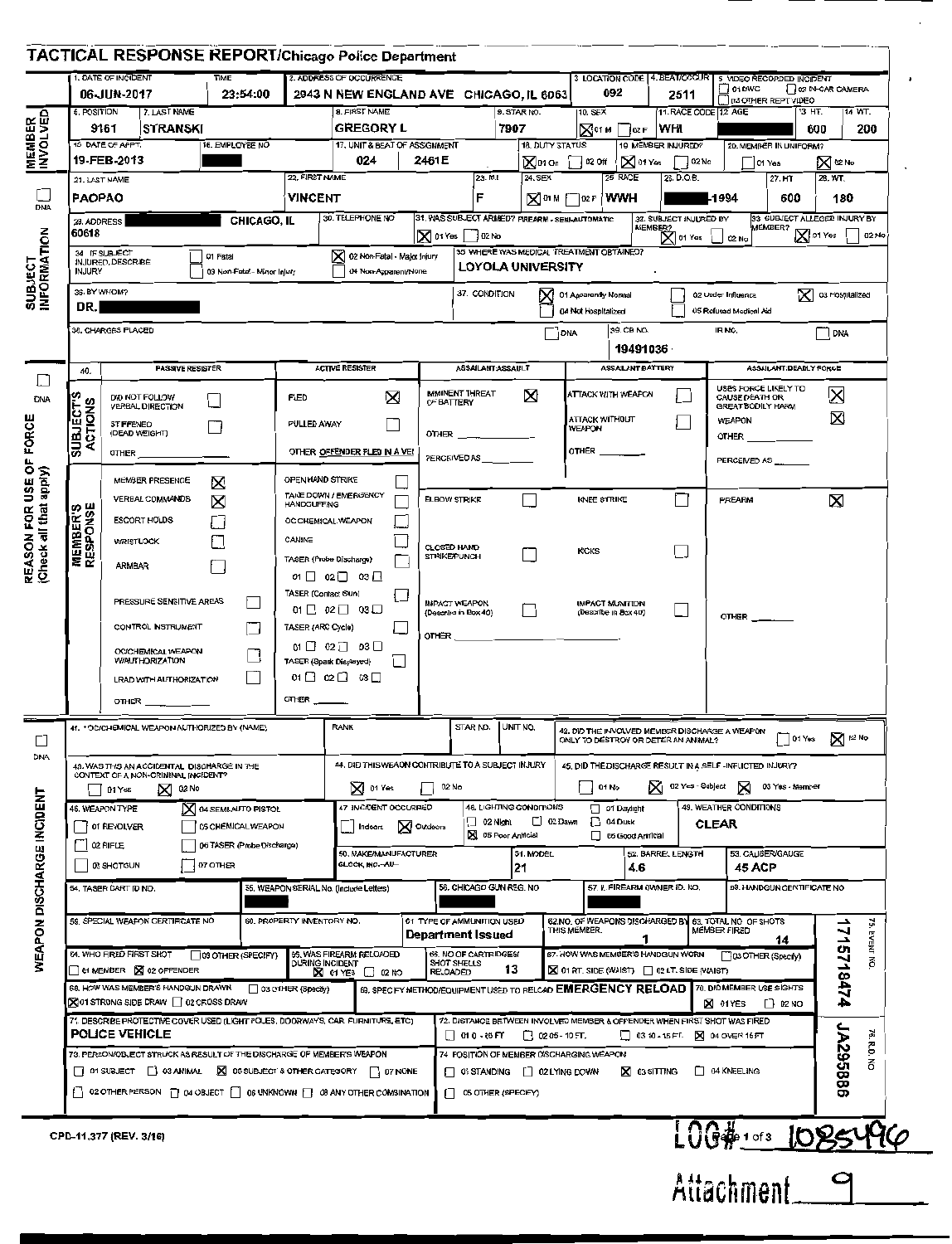|                                          | TACTICAL RESPONSE REPORT/Chicago Police Department                                                                                                                     |                                        |                            |                                                                                                                                     |                                                                                          |                                                               |                                                                                                                                                                                                         |                                                          |                                               |                                             |                                                                                       |                                              |                                      |                                   |           |
|------------------------------------------|------------------------------------------------------------------------------------------------------------------------------------------------------------------------|----------------------------------------|----------------------------|-------------------------------------------------------------------------------------------------------------------------------------|------------------------------------------------------------------------------------------|---------------------------------------------------------------|---------------------------------------------------------------------------------------------------------------------------------------------------------------------------------------------------------|----------------------------------------------------------|-----------------------------------------------|---------------------------------------------|---------------------------------------------------------------------------------------|----------------------------------------------|--------------------------------------|-----------------------------------|-----------|
|                                          | 1. DATE OF INCIDENT<br>06-JUN-2017                                                                                                                                     | TIME<br>23:54:00                       |                            | 2. ADDRESS OF OCCURRENCE<br>2943 N NEW ENGLAND AVE CHICAGO, IL 6063                                                                 |                                                                                          |                                                               |                                                                                                                                                                                                         |                                                          |                                               | 092                                         | 3 LOCATION CODE 4. BEAT/OCCUR 5 VIDEO RECORDED INCIDENT<br>2511                       | $\frac{1}{2}$ of BWC                         |                                      | 02 IN-CAR CAMERA                  |           |
| 6. POSITION<br><b>MEMBER</b><br>INVOLVED | 7. LAST NAME                                                                                                                                                           |                                        |                            | 8. FIRST NAME                                                                                                                       |                                                                                          |                                                               | 9. STAR NO.                                                                                                                                                                                             |                                                          | 10. SEX                                       |                                             | 11. RACE CODE 12 AGE                                                                  |                                              | U D3 OTHER REPT VIDEO<br>13 HT.      |                                   | 14 WT.    |
|                                          | <b>STRANSKI</b><br>9161<br>15 DATE OF APPT.                                                                                                                            | 16. EMPLOYEE NO                        |                            | <b>GREGORY L</b><br>17, UNIT & BEAT OF ASSIGNMENT                                                                                   |                                                                                          |                                                               | 7907                                                                                                                                                                                                    |                                                          |                                               | $\boxtimes$ <sup>01</sup> M $\Box$ 02 F WHI |                                                                                       |                                              |                                      | 600                               | 200       |
|                                          | 19-FEB-2013                                                                                                                                                            |                                        |                            | 024                                                                                                                                 | 2461E                                                                                    |                                                               |                                                                                                                                                                                                         | 18. DUTY STATUS                                          | ∑ไทon ∏¤2ort                                  |                                             | 19 MEMBER INJURED?<br>$\boxtimes$ 01 Yes $\qquad \qquad \Box$ 02 No                   |                                              | 20. MEMBER IN UNIFORM?<br>$ $ 01 Yes | X 02 No                           |           |
|                                          | 21. LAST NAME                                                                                                                                                          |                                        | 22, FIRST NAME             |                                                                                                                                     |                                                                                          | 23. M.I                                                       | 24. SEX                                                                                                                                                                                                 |                                                          |                                               | 25 RACE                                     | 26. D.O.B.                                                                            |                                              | $27. H$ T                            | 28. WT.                           |           |
| <b>DNA</b>                               | PAOPAO                                                                                                                                                                 |                                        | <b>VINCENT</b>             | 30. TELEPHONE NO                                                                                                                    |                                                                                          | F                                                             |                                                                                                                                                                                                         |                                                          | ⊠™ ∣ि® मं ∤wwH                                |                                             | -1994                                                                                 |                                              | 600                                  | 180                               |           |
|                                          | CHICAGO, IL<br>29. ADDRESS<br>60618                                                                                                                                    |                                        |                            |                                                                                                                                     | 31. WAS SUBJECT ARMED? FIREARM - SEMI-AUTOMATIC<br>$\vert$ $\mathsf{N}$ 01 Yes<br>102 No |                                                               |                                                                                                                                                                                                         | 32. SUBJECT INJURED BY<br>MEMBER?<br>$\mathsf{X}$ 01 Yes |                                               |                                             | 33 SUBJECT ALLEGED INJURY BY<br>MEMBER?<br>X 01 Yes<br>02 No<br>02 No                 |                                              |                                      |                                   |           |
|                                          | 34 IF SUBJECT<br>3 02 Non-Fatal - Major Injury<br>01 Fatal<br>INJURED, DESCRIBE<br><b>INJURY</b><br>03 Non-Fatal - Minor Injury<br>04 Non-Apparent/None                |                                        |                            |                                                                                                                                     |                                                                                          | 35 WHERE WAS MEDICAL TREATMENT OBTAINED?<br>LOYOLA UNIVERSITY |                                                                                                                                                                                                         |                                                          |                                               |                                             |                                                                                       |                                              |                                      |                                   |           |
| <b>SUBJECT<br/>INFORMATION</b><br>DR.    | 36. BY WHOM?                                                                                                                                                           |                                        |                            |                                                                                                                                     |                                                                                          | 37. CONDITION                                                 |                                                                                                                                                                                                         |                                                          | 1 01 Apparently Normal<br>04 Not Hospitalized |                                             |                                                                                       | 02 Under Influence<br>05 Refused Medical Aid |                                      | $\mathsf{\times}$ 03 Hospitalized |           |
|                                          | 38. CHARGES PLACED                                                                                                                                                     |                                        |                            |                                                                                                                                     |                                                                                          |                                                               |                                                                                                                                                                                                         | DNA                                                      |                                               | 39. CB NO.<br>19491036                      |                                                                                       | IR NO.                                       |                                      | <b>DNA</b>                        |           |
| 40.                                      | <b>PASSIVE RESISTER</b>                                                                                                                                                |                                        |                            | <b>ACTIVE RESISTER</b>                                                                                                              |                                                                                          |                                                               | ASSAILANT: ASSAULT                                                                                                                                                                                      |                                                          |                                               | ASSAILANT:BATTERY                           |                                                                                       |                                              | ASSAILANT:DEADLY FORCE               |                                   |           |
| DNA                                      | DID NOT FOLLOW<br>VERBAL DIRECTION                                                                                                                                     |                                        | <b>FLED</b>                | $\boxtimes$                                                                                                                         | OF BATTERY                                                                               | <b>IMMINENT THREAT</b>                                        | X                                                                                                                                                                                                       |                                                          |                                               | ATTACK WITH WEAPON                          |                                                                                       | CAUSE DEATH OR<br>GREAT BODILY HARM          | USES FORCE LIKELY TO                 | ⊠                                 |           |
| <b>SLITS</b>                             | <b>STIFFENED</b><br>(DEAD WEIGHT)                                                                                                                                      |                                        | <b>PULLED AWAY</b>         |                                                                                                                                     |                                                                                          |                                                               |                                                                                                                                                                                                         |                                                          | ATTACK WITHOUT<br>WEAPON                      |                                             |                                                                                       | <b>WEAPON</b>                                |                                      | Ø                                 |           |
| <b>SUBJECT</b><br>ACTIONS                | OTHER                                                                                                                                                                  |                                        |                            | OTHER OFFENDER FLED IN A VE!                                                                                                        |                                                                                          |                                                               |                                                                                                                                                                                                         |                                                          | OTHER _                                       |                                             |                                                                                       | <b>OTHER</b>                                 |                                      |                                   |           |
|                                          | MEMBER PRESENCE                                                                                                                                                        |                                        | OPEN HAND STRIKE           |                                                                                                                                     |                                                                                          | PERCEIVED AS                                                  |                                                                                                                                                                                                         |                                                          |                                               |                                             |                                                                                       |                                              | PERCEIVED AS __                      |                                   |           |
|                                          | VERBAL COMMANDS                                                                                                                                                        | ⊠<br>X                                 | <b>HANDCUFFING</b>         | TAKE DOWN / EMERGENCY                                                                                                               |                                                                                          | ELBOW STRIKE                                                  |                                                                                                                                                                                                         |                                                          | <b>KNEE STRIKE</b>                            |                                             |                                                                                       | <b>FIREARM</b>                               |                                      | X                                 |           |
| <b>MEMBER'S<br/>RESPONSE</b>             | <b>ESCORT HOLDS</b>                                                                                                                                                    |                                        |                            | OC CHEMICAL WEAPON                                                                                                                  |                                                                                          |                                                               |                                                                                                                                                                                                         |                                                          |                                               |                                             |                                                                                       |                                              |                                      |                                   |           |
|                                          | <b>WRISTLOCK</b>                                                                                                                                                       |                                        | CANINE                     |                                                                                                                                     |                                                                                          | <b>CLOSED HAND</b><br><b>STRIKE/PUNCH</b>                     |                                                                                                                                                                                                         |                                                          | <b>KICKS</b>                                  |                                             |                                                                                       |                                              |                                      |                                   |           |
|                                          | <b>ARMBAR</b>                                                                                                                                                          |                                        |                            | TASER (Probe Discharge)<br>$01 \quad 02 \quad 03 \quad$                                                                             |                                                                                          |                                                               |                                                                                                                                                                                                         |                                                          |                                               |                                             |                                                                                       |                                              |                                      |                                   |           |
|                                          | PRESSURE SENSITIVE AREAS                                                                                                                                               |                                        | TASER (Contact Stun)       | 11                                                                                                                                  |                                                                                          | <b>IMPACT WEAPON</b>                                          |                                                                                                                                                                                                         |                                                          |                                               | <b>IMPACT MUNITION</b>                      |                                                                                       |                                              |                                      |                                   |           |
|                                          | CONTROL INSTRUMENT                                                                                                                                                     |                                        | TASER (ARC Cycle)          | $01 \quad 02 \quad 03 \quad \Box$                                                                                                   |                                                                                          | (Describe in Box 40)                                          |                                                                                                                                                                                                         |                                                          |                                               | (Describe in Box 40)                        |                                                                                       | <b>OTHER</b>                                 |                                      |                                   |           |
|                                          | OC/CHEMICAL WEAPON                                                                                                                                                     |                                        |                            | $01$ $02$ $03$ $0$                                                                                                                  | OTHER $\_\_$                                                                             |                                                               |                                                                                                                                                                                                         |                                                          |                                               |                                             |                                                                                       |                                              |                                      |                                   |           |
|                                          | <b>WAUTHORIZATION</b><br><b>LRAD WITH AUTHORIZATION</b>                                                                                                                |                                        |                            | TASER (Spark Displayed)<br>$01 \square 02 \square 03 \square$                                                                       |                                                                                          |                                                               |                                                                                                                                                                                                         |                                                          |                                               |                                             |                                                                                       |                                              |                                      |                                   |           |
|                                          |                                                                                                                                                                        |                                        | OTHER                      |                                                                                                                                     |                                                                                          |                                                               |                                                                                                                                                                                                         |                                                          |                                               |                                             |                                                                                       |                                              |                                      |                                   |           |
|                                          | 41. * OC/CHEMICAL WEAPON AUTHORIZED BY (NAME)                                                                                                                          |                                        |                            | <b>RANK</b>                                                                                                                         |                                                                                          | STAR NO.                                                      | UNIT NO.                                                                                                                                                                                                |                                                          |                                               |                                             | 42. DID THE INVOLVED MEMBER DISCHARGE A WEAPON<br>ONLY TO DESTROY OR DETER AN ANIMAL? |                                              |                                      | $\Box$ 01 Yes $\Box$ D2 No        |           |
|                                          | 43. WAS THIS AN ACCIDENTAL DISCHARGE IN THE                                                                                                                            |                                        |                            | 44. DID THIS WEADN CONTRIBUTE TO A SUBJECT INJURY                                                                                   |                                                                                          |                                                               |                                                                                                                                                                                                         |                                                          |                                               |                                             | 45. DID THE DISCHARGE RESULT IN A SELF -INFLICTED INJURY?                             |                                              |                                      |                                   |           |
|                                          | CONTEXT OF A NON-CRIMINAL INCIDENT?<br>$\boxtimes$ 02 No<br>D1 Yes                                                                                                     |                                        |                            | <b>X</b> of Yes                                                                                                                     |                                                                                          | 02 No                                                         |                                                                                                                                                                                                         |                                                          | 01 No                                         |                                             | X 02 Yes - Subject X                                                                  |                                              | 03 Yes - Member                      |                                   |           |
|                                          | 46. WEAPON TYPE                                                                                                                                                        | $\mathsf{X}$ o4 SEMI-AUTO PISTOL       |                            | 47 INCIDENT OCCURRED                                                                                                                |                                                                                          |                                                               | 48. LIGHTING CONDITIONS                                                                                                                                                                                 |                                                          |                                               | Of Daylight                                 |                                                                                       | 49. WEATHER CONDITIONS                       |                                      |                                   |           |
|                                          | 01 REVOLVER                                                                                                                                                            | 05 CHEMICAL WEAPON                     |                            | Indoars                                                                                                                             | XI Outdoors                                                                              | ∐ 02 Nlght                                                    | 3 05 Poor Artificial                                                                                                                                                                                    | $\Box$ 03 Dawn                                           |                                               | $\Box$ 04 Dusk<br>06 Good Anificial         |                                                                                       | <b>CLEAR</b>                                 |                                      |                                   |           |
|                                          | 02 RIFLE<br>03 SHOTGUN                                                                                                                                                 | 06 TASER (Probe Discharge)<br>07 OTHER |                            | 50. MAKE/MANUFACTURER<br>GLOCK, INC.~AU-                                                                                            |                                                                                          |                                                               | 51. MODEL                                                                                                                                                                                               |                                                          |                                               |                                             | 52. BARREL LENGTH                                                                     |                                              | 53. CALIBER/GAUGE                    |                                   |           |
|                                          | 54. TASER DART ID NO.                                                                                                                                                  |                                        |                            | 55, WEAPON SERIAL No. (Include Letters)                                                                                             |                                                                                          |                                                               | 21<br>56, CHICAGO GUN REG. NO                                                                                                                                                                           |                                                          |                                               | 4.6                                         | 57. IL FIREARM OWNER ID. NO.                                                          | 45 ACP                                       | 58. HANDGUN CERTIFICATE NO           |                                   |           |
|                                          |                                                                                                                                                                        |                                        |                            |                                                                                                                                     |                                                                                          |                                                               |                                                                                                                                                                                                         |                                                          |                                               |                                             |                                                                                       |                                              |                                      |                                   |           |
|                                          | 59. SPECIAL WEAPON CERTIFICATE NO                                                                                                                                      |                                        | 60. PROPERTY INVENTORY NO. |                                                                                                                                     |                                                                                          | 61 TYPE OF AMMUNITION USED<br><b>Department Issued</b>        |                                                                                                                                                                                                         |                                                          | THIS MEMBER.                                  | 62.NO. OF WEAPONS DISCHARGED BY             |                                                                                       | 63. TOTAL NO OF SHOTS<br>MEMBER FIRED        | 14                                   |                                   | ă         |
|                                          | 64. WHO FIRED FIRST SHOT                                                                                                                                               | 03 OTHER (SPECIFY)                     | <b>DURING INCIDENT</b>     | 65. WAS FIREARM RELOADED                                                                                                            |                                                                                          | 66. NO OF CARTRIDGES/<br><b>SHOT SHELLS</b>                   |                                                                                                                                                                                                         |                                                          |                                               |                                             | 67. HOW WAS MEMBER'S HANDGUN WORN                                                     |                                              | (3 OTHER (Specify)                   |                                   | EVENT NO. |
|                                          | $\Box$ 01 MEMBER $\boxtimes$ 02 OFFENDER<br>68. HOW WAS MEMBER'S HANDGUN DRAWN                                                                                         |                                        | 03 OTHER (Specify)         | <b>X</b> 01 YES<br>$\begin{bmatrix} 1 & 02 \end{bmatrix}$ NO<br>69, SPECIFY METHOD/EQUIPMENT USED TO RELOAD <b>EMERGENCY RELOAD</b> | RELOADED                                                                                 |                                                               | 13                                                                                                                                                                                                      |                                                          |                                               |                                             | $\boxtimes$ 01 AT. SIDE (WAIST) $\Box$ 02 LT. SIDE (WAIST)                            |                                              | 70. DID MEMBER USE SIGHTS            | 1715718474                        |           |
|                                          | $\boxtimes$ 01 STRONG SIDE DRAW $\Box$ 02 CROSS DRAW                                                                                                                   |                                        |                            |                                                                                                                                     |                                                                                          |                                                               |                                                                                                                                                                                                         |                                                          |                                               |                                             |                                                                                       | <b>X</b> 01 YES                              | D2NO                                 |                                   |           |
|                                          | 71, DESCRIBE PROTECTIVE COVER USED (LIGHT POLES, DOORWAYS, CAR, FURNITURE, ETC)<br><b>POLICE VEHICLE</b>                                                               |                                        |                            |                                                                                                                                     |                                                                                          |                                                               | 72. DISTANCE BETWEEN INVOLVED MEMBER & OFFENDER WHEN FIRST SHOT WAS FIRED<br>$\begin{bmatrix} 010 - 05 \text{ Ff} \end{bmatrix}$<br>$\Box$ 02.05 - 10 FT,<br>$\Box$ 0310-15FT. $\boxtimes$ 04 OVER 15FT |                                                          |                                               |                                             |                                                                                       |                                              |                                      | ř,                                |           |
|                                          | 73. PERSON/OBJECT STRUCK AS RESULT OF THE DISCHARGE OF MEMBER'S WEAPON                                                                                                 |                                        |                            |                                                                                                                                     |                                                                                          | 74 POSITION OF MEMBER DISCHARGING WEAPON                      |                                                                                                                                                                                                         |                                                          |                                               |                                             |                                                                                       |                                              |                                      | R,<br>종                           |           |
|                                          | $\Box$ 01 SUBJECT $\Box$ 03 ANIMAL $\boxtimes$ 05 SUBJECT & OTHER CATEGORY $\Box$ 07 NONE<br>02 OTHER PERSON [ ] 04 OBJECT [ ] 06 UNKNOWN [ ] 08 ANY OTHER COMBINATION |                                        |                            |                                                                                                                                     | ŁТ<br>ш                                                                                  |                                                               | 01 STANDING   02 LYING DOWN<br>05 OTHER (SPECIFY)                                                                                                                                                       |                                                          |                                               | <b>X</b> 03 SITTING                         |                                                                                       | 04 KNEELING                                  |                                      | 1A295886                          |           |
|                                          |                                                                                                                                                                        |                                        |                            |                                                                                                                                     |                                                                                          |                                                               |                                                                                                                                                                                                         |                                                          |                                               |                                             |                                                                                       |                                              |                                      |                                   |           |
|                                          | CPD-11.377 (REV. 3/16)                                                                                                                                                 |                                        |                            |                                                                                                                                     |                                                                                          |                                                               |                                                                                                                                                                                                         |                                                          |                                               |                                             |                                                                                       |                                              | L0G#1013 1085496                     |                                   |           |
|                                          |                                                                                                                                                                        |                                        |                            |                                                                                                                                     |                                                                                          |                                                               |                                                                                                                                                                                                         |                                                          |                                               |                                             |                                                                                       |                                              |                                      |                                   |           |
|                                          |                                                                                                                                                                        |                                        |                            |                                                                                                                                     |                                                                                          |                                                               |                                                                                                                                                                                                         |                                                          |                                               |                                             |                                                                                       | Attachment                                   |                                      |                                   |           |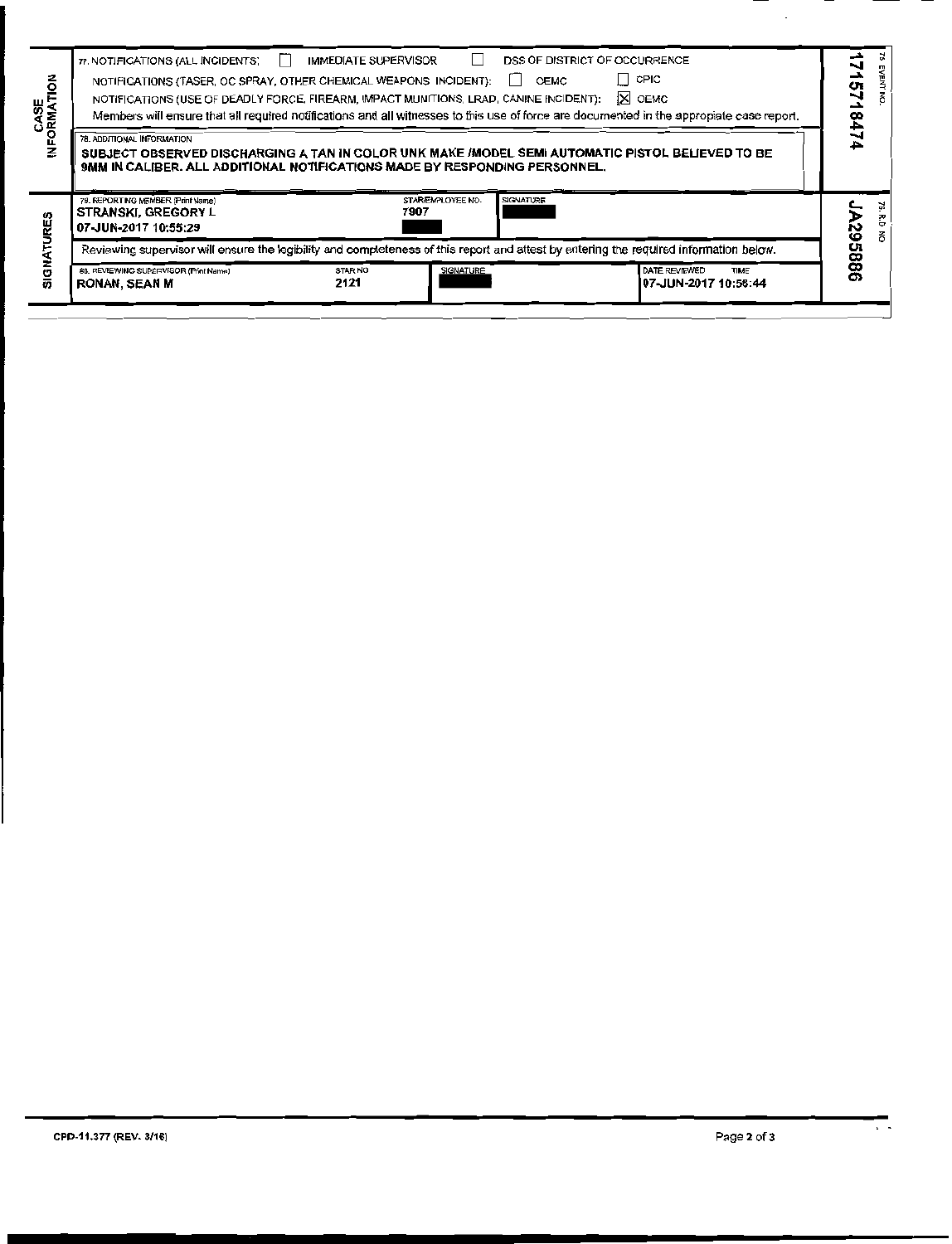| る<br>CASE<br>FORMATI | 77. NOTIFICATIONS (ALL INCIDENTS)<br>NOTIFICATIONS (TASER, OC SPRAY, OTHER CHEMICAL WEAPONS INCIDENT):<br>NOTIFICATIONS (USE OF DEADLY FORCE, FIREARM, IMPACT MUNITIONS, LRAD, CANINE INCIDENT):<br>78. ADDITIONAL INFORMATION<br>SUBJECT OBSERVED DISCHARGING A TAN IN COLOR UNK MAKE /MODEL SEMI AUTOMATIC PISTOL BELIEVED TO BE<br>9MM IN CALIBER. ALL ADDITIONAL NOTIFICATIONS MADE BY RESPONDING PERSONNEL. | <b>IMMEDIATE SUPERVISOR</b> |                           | DSS OF DISTRICT OF OCCURRENCE<br>OEMC<br>$\mathbf{1}$ | II CPIC<br>X OEMC<br>Members will ensure that all required notifications and all witnesses to this use of force are documented in the appropiate case report. | CT<br>178 |    |
|----------------------|------------------------------------------------------------------------------------------------------------------------------------------------------------------------------------------------------------------------------------------------------------------------------------------------------------------------------------------------------------------------------------------------------------------|-----------------------------|---------------------------|-------------------------------------------------------|---------------------------------------------------------------------------------------------------------------------------------------------------------------|-----------|----|
| RES                  | 79. REPORTING MEMBER (Print Name)<br><b>STRANSKI, GREGORY L</b><br>07-JUN-2017 10:55:29                                                                                                                                                                                                                                                                                                                          |                             | STAR/EMPLOYEE NO.<br>7907 | SIGNATURE                                             |                                                                                                                                                               | ပ္လ       | ò. |
|                      | Reviewing supervisor will ensure the legibility and completeness of this report and attest by entering the required information below.                                                                                                                                                                                                                                                                           |                             |                           |                                                       |                                                                                                                                                               |           |    |
| U<br>あ               | 80. REVIEWING SUPERVISOR (Print Name)<br><b>RONAN, SEAN M</b>                                                                                                                                                                                                                                                                                                                                                    | STAR NO<br>2121             | SIGNATURE                 |                                                       | DATE REVIEWED<br>TIME<br>107-JUN-2017 10:58:44                                                                                                                | 9885      |    |
|                      |                                                                                                                                                                                                                                                                                                                                                                                                                  |                             |                           |                                                       |                                                                                                                                                               |           |    |

 $\overline{\phantom{a}}$ 

 $\ddot{\phantom{a}}$